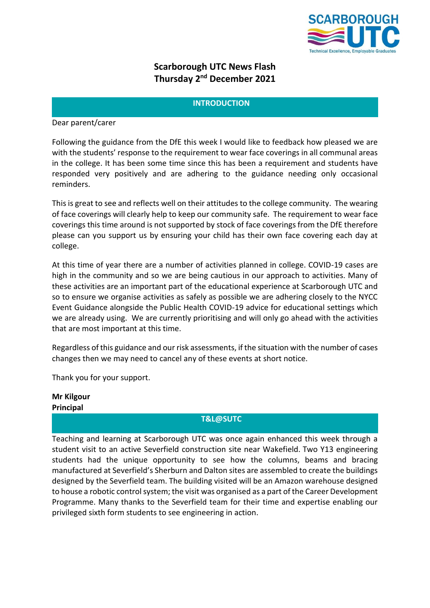

# **Scarborough UTC News Flash Thursday 2nd December 2021**

#### **INTRODUCTION**

Dear parent/carer

Following the guidance from the DfE this week I would like to feedback how pleased we are with the students' response to the requirement to wear face coverings in all communal areas in the college. It has been some time since this has been a requirement and students have responded very positively and are adhering to the guidance needing only occasional reminders.

This is great to see and reflects well on their attitudes to the college community. The wearing of face coverings will clearly help to keep our community safe. The requirement to wear face coverings this time around is not supported by stock of face coverings from the DfE therefore please can you support us by ensuring your child has their own face covering each day at college.

At this time of year there are a number of activities planned in college. COVID-19 cases are high in the community and so we are being cautious in our approach to activities. Many of these activities are an important part of the educational experience at Scarborough UTC and so to ensure we organise activities as safely as possible we are adhering closely to the NYCC Event Guidance alongside the Public Health COVID-19 advice for educational settings which we are already using. We are currently prioritising and will only go ahead with the activities that are most important at this time.

Regardless of this guidance and our risk assessments, if the situation with the number of cases changes then we may need to cancel any of these events at short notice.

Thank you for your support.

**Mr Kilgour Principal**

# **T&L@SUTC**

Teaching and learning at Scarborough UTC was once again enhanced this week through a student visit to an active Severfield construction site near Wakefield. Two Y13 engineering students had the unique opportunity to see how the columns, beams and bracing manufactured at Severfield's Sherburn and Dalton sites are assembled to create the buildings designed by the Severfield team. The building visited will be an Amazon warehouse designed to house a robotic control system; the visit was organised as a part of the Career Development Programme. Many thanks to the Severfield team for their time and expertise enabling our privileged sixth form students to see engineering in action.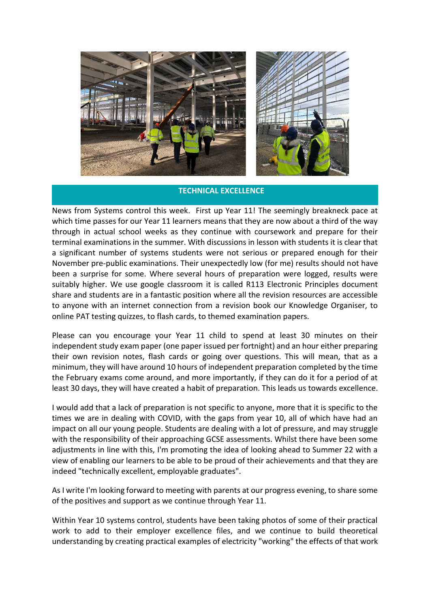

#### **TECHNICAL EXCELLENCE**

News from Systems control this week. First up Year 11! The seemingly breakneck pace at which time passes for our Year 11 learners means that they are now about a third of the way through in actual school weeks as they continue with coursework and prepare for their terminal examinations in the summer. With discussions in lesson with students it is clear that a significant number of systems students were not serious or prepared enough for their November pre-public examinations. Their unexpectedly low (for me) results should not have been a surprise for some. Where several hours of preparation were logged, results were suitably higher. We use google classroom it is called R113 Electronic Principles document share and students are in a fantastic position where all the revision resources are accessible to anyone with an internet connection from a revision book our Knowledge Organiser, to online PAT testing quizzes, to flash cards, to themed examination papers.

Please can you encourage your Year 11 child to spend at least 30 minutes on their independent study exam paper (one paper issued per fortnight) and an hour either preparing their own revision notes, flash cards or going over questions. This will mean, that as a minimum, they will have around 10 hours of independent preparation completed by the time the February exams come around, and more importantly, if they can do it for a period of at least 30 days, they will have created a habit of preparation. This leads us towards excellence.

I would add that a lack of preparation is not specific to anyone, more that it is specific to the times we are in dealing with COVID, with the gaps from year 10, all of which have had an impact on all our young people. Students are dealing with a lot of pressure, and may struggle with the responsibility of their approaching GCSE assessments. Whilst there have been some adjustments in line with this, I'm promoting the idea of looking ahead to Summer 22 with a view of enabling our learners to be able to be proud of their achievements and that they are indeed "technically excellent, employable graduates".

As I write I'm looking forward to meeting with parents at our progress evening, to share some of the positives and support as we continue through Year 11.

Within Year 10 systems control, students have been taking photos of some of their practical work to add to their employer excellence files, and we continue to build theoretical understanding by creating practical examples of electricity "working" the effects of that work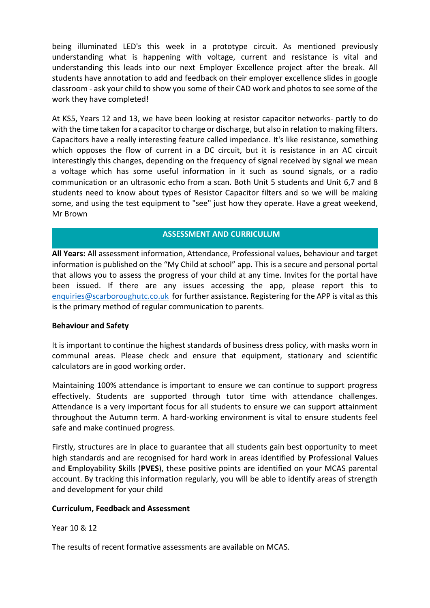being illuminated LED's this week in a prototype circuit. As mentioned previously understanding what is happening with voltage, current and resistance is vital and understanding this leads into our next Employer Excellence project after the break. All students have annotation to add and feedback on their employer excellence slides in google classroom - ask your child to show you some of their CAD work and photos to see some of the work they have completed!

At KS5, Years 12 and 13, we have been looking at resistor capacitor networks- partly to do with the time taken for a capacitor to charge or discharge, but also in relation to making filters. Capacitors have a really interesting feature called impedance. It's like resistance, something which opposes the flow of current in a DC circuit, but it is resistance in an AC circuit interestingly this changes, depending on the frequency of signal received by signal we mean a voltage which has some useful information in it such as sound signals, or a radio communication or an ultrasonic echo from a scan. Both Unit 5 students and Unit 6,7 and 8 students need to know about types of Resistor Capacitor filters and so we will be making some, and using the test equipment to "see" just how they operate. Have a great weekend, Mr Brown

### **ASSESSMENT AND CURRICULUM**

**All Years:** All assessment information, Attendance, Professional values, behaviour and target information is published on the "My Child at school" app. This is a secure and personal portal that allows you to assess the progress of your child at any time. Invites for the portal have been issued. If there are any issues accessing the app, please report this to [enquiries@scarboroughutc.co.uk](mailto:enquiries@scarboroughutc.co.uk) for further assistance. Registering for the APP is vital as this is the primary method of regular communication to parents.

#### **Behaviour and Safety**

It is important to continue the highest standards of business dress policy, with masks worn in communal areas. Please check and ensure that equipment, stationary and scientific calculators are in good working order.

Maintaining 100% attendance is important to ensure we can continue to support progress effectively. Students are supported through tutor time with attendance challenges. Attendance is a very important focus for all students to ensure we can support attainment throughout the Autumn term. A hard-working environment is vital to ensure students feel safe and make continued progress.

Firstly, structures are in place to guarantee that all students gain best opportunity to meet high standards and are recognised for hard work in areas identified by **P**rofessional **V**alues and **E**mployability **S**kills (**PVES**), these positive points are identified on your MCAS parental account. By tracking this information regularly, you will be able to identify areas of strength and development for your child

#### **Curriculum, Feedback and Assessment**

Year 10 & 12

The results of recent formative assessments are available on MCAS.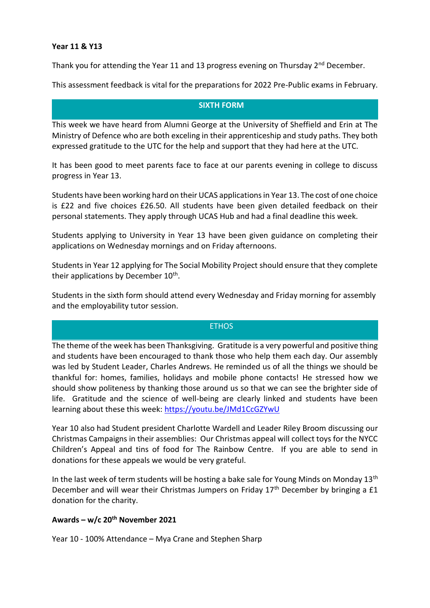#### **Year 11 & Y13**

Thank you for attending the Year 11 and 13 progress evening on Thursday  $2^{nd}$  December.

This assessment feedback is vital for the preparations for 2022 Pre-Public exams in February.

### **SIXTH FORM**

This week we have heard from Alumni George at the University of Sheffield and Erin at The Ministry of Defence who are both exceling in their apprenticeship and study paths. They both expressed gratitude to the UTC for the help and support that they had here at the UTC.

It has been good to meet parents face to face at our parents evening in college to discuss progress in Year 13.

Students have been working hard on their UCAS applications in Year 13. The cost of one choice is £22 and five choices £26.50. All students have been given detailed feedback on their personal statements. They apply through UCAS Hub and had a final deadline this week.

Students applying to University in Year 13 have been given guidance on completing their applications on Wednesday mornings and on Friday afternoons.

Students in Year 12 applying for The Social Mobility Project should ensure that they complete their applications by December 10<sup>th</sup>.

Students in the sixth form should attend every Wednesday and Friday morning for assembly and the employability tutor session.

## ETHOS

The theme of the week has been Thanksgiving. Gratitude is a very powerful and positive thing and students have been encouraged to thank those who help them each day. Our assembly was led by Student Leader, Charles Andrews. He reminded us of all the things we should be thankful for: homes, families, holidays and mobile phone contacts! He stressed how we should show politeness by thanking those around us so that we can see the brighter side of life. Gratitude and the science of well-being are clearly linked and students have been learning about these this week:<https://youtu.be/JMd1CcGZYwU>

Year 10 also had Student president Charlotte Wardell and Leader Riley Broom discussing our Christmas Campaigns in their assemblies: Our Christmas appeal will collect toys for the NYCC Children's Appeal and tins of food for The Rainbow Centre. If you are able to send in donations for these appeals we would be very grateful.

In the last week of term students will be hosting a bake sale for Young Minds on Monday  $13<sup>th</sup>$ December and will wear their Christmas Jumpers on Friday 17<sup>th</sup> December by bringing a £1 donation for the charity.

#### **Awards – w/c 20th November 2021**

Year 10 - 100% Attendance – Mya Crane and Stephen Sharp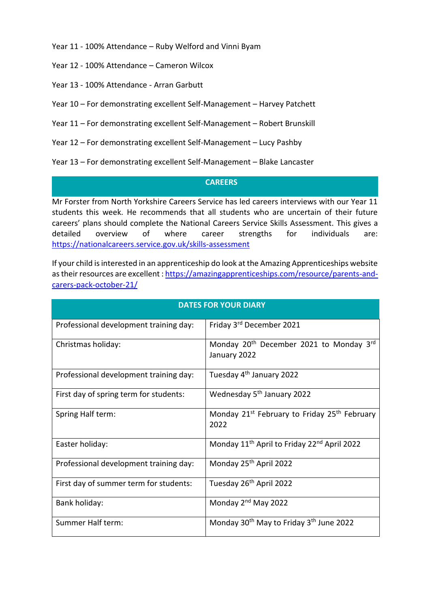Year 11 - 100% Attendance – Ruby Welford and Vinni Byam

- Year 12 100% Attendance Cameron Wilcox
- Year 13 100% Attendance Arran Garbutt
- Year 10 For demonstrating excellent Self-Management Harvey Patchett
- Year 11 For demonstrating excellent Self-Management Robert Brunskill
- Year 12 For demonstrating excellent Self-Management Lucy Pashby

Year 13 – For demonstrating excellent Self-Management – Blake Lancaster

#### **CAREERS**

Mr Forster from North Yorkshire Careers Service has led careers interviews with our Year 11 students this week. He recommends that all students who are uncertain of their future careers' plans should complete the National Careers Service Skills Assessment. This gives a detailed overview of where career strengths for individuals are: <https://nationalcareers.service.gov.uk/skills-assessment>

If your child is interested in an apprenticeship do look at the Amazing Apprenticeships website as their resources are excellent [: https://amazingapprenticeships.com/resource/parents-and](https://amazingapprenticeships.com/resource/parents-and-carers-pack-october-21/)[carers-pack-october-21/](https://amazingapprenticeships.com/resource/parents-and-carers-pack-october-21/)

| <b>DATES FOR YOUR DIARY</b>            |                                                                                 |
|----------------------------------------|---------------------------------------------------------------------------------|
| Professional development training day: | Friday 3rd December 2021                                                        |
| Christmas holiday:                     | Monday 20 <sup>th</sup> December 2021 to Monday 3 <sup>rd</sup><br>January 2022 |
| Professional development training day: | Tuesday 4 <sup>th</sup> January 2022                                            |
| First day of spring term for students: | Wednesday 5 <sup>th</sup> January 2022                                          |
| Spring Half term:                      | Monday 21 <sup>st</sup> February to Friday 25 <sup>th</sup> February<br>2022    |
| Easter holiday:                        | Monday 11 <sup>th</sup> April to Friday 22 <sup>nd</sup> April 2022             |
| Professional development training day: | Monday 25th April 2022                                                          |
| First day of summer term for students: | Tuesday 26 <sup>th</sup> April 2022                                             |
| Bank holiday:                          | Monday 2 <sup>nd</sup> May 2022                                                 |
| Summer Half term:                      | Monday 30 <sup>th</sup> May to Friday 3 <sup>th</sup> June 2022                 |